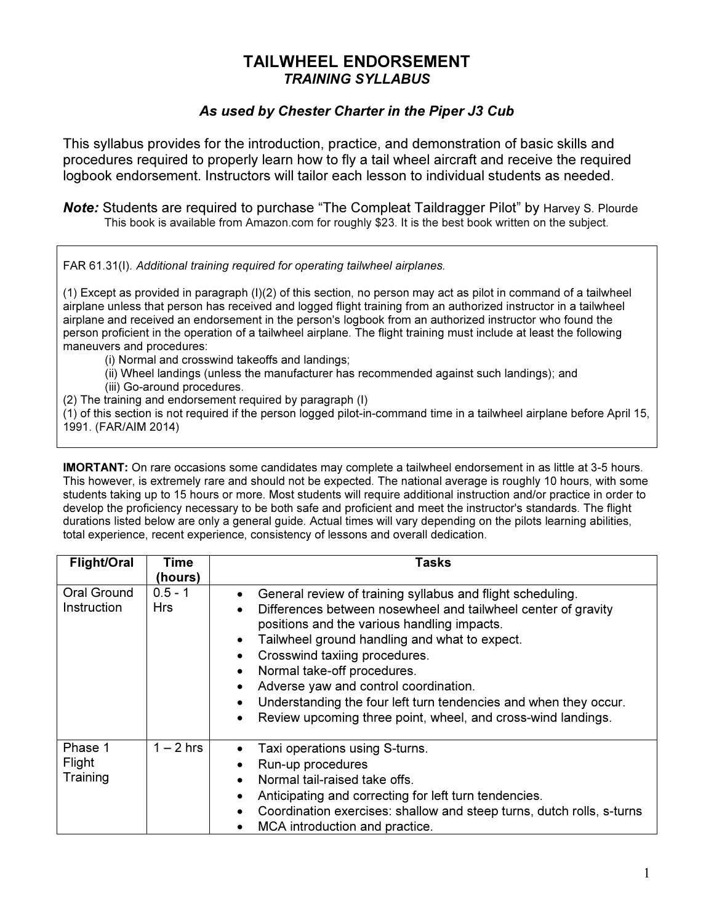## TAILWHEEL ENDORSEMENT TRAINING SYLLABUS

## As used by Chester Charter in the Piper J3 Cub

This syllabus provides for the introduction, practice, and demonstration of basic skills and procedures required to properly learn how to fly a tail wheel aircraft and receive the required logbook endorsement. Instructors will tailor each lesson to individual students as needed.

Note: Students are required to purchase "The Compleat Taildragger Pilot" by Harvey S. Plourde This book is available from Amazon.com for roughly \$23. It is the best book written on the subject.

FAR 61.31(I). Additional training required for operating tailwheel airplanes.

(1) Except as provided in paragraph (I)(2) of this section, no person may act as pilot in command of a tailwheel airplane unless that person has received and logged flight training from an authorized instructor in a tailwheel airplane and received an endorsement in the person's logbook from an authorized instructor who found the person proficient in the operation of a tailwheel airplane. The flight training must include at least the following maneuvers and procedures:

- (i) Normal and crosswind takeoffs and landings;
- (ii) Wheel landings (unless the manufacturer has recommended against such landings); and
- (iii) Go-around procedures.
- (2) The training and endorsement required by paragraph (I)

(1) of this section is not required if the person logged pilot-in-command time in a tailwheel airplane before April 15, 1991. (FAR/AIM 2014)

IMORTANT: On rare occasions some candidates may complete a tailwheel endorsement in as little at 3-5 hours. This however, is extremely rare and should not be expected. The national average is roughly 10 hours, with some students taking up to 15 hours or more. Most students will require additional instruction and/or practice in order to develop the proficiency necessary to be both safe and proficient and meet the instructor's standards. The flight durations listed below are only a general guide. Actual times will vary depending on the pilots learning abilities, total experience, recent experience, consistency of lessons and overall dedication.

| <b>Flight/Oral</b>            | Time                    | Tasks                                                                                                                                                                                                                                                                                                                                                                                                                                                                    |
|-------------------------------|-------------------------|--------------------------------------------------------------------------------------------------------------------------------------------------------------------------------------------------------------------------------------------------------------------------------------------------------------------------------------------------------------------------------------------------------------------------------------------------------------------------|
|                               | (hours)                 |                                                                                                                                                                                                                                                                                                                                                                                                                                                                          |
| Oral Ground<br>Instruction    | $0.5 - 1$<br><b>Hrs</b> | General review of training syllabus and flight scheduling.<br>Differences between nosewheel and tailwheel center of gravity<br>positions and the various handling impacts.<br>Tailwheel ground handling and what to expect.<br>Crosswind taxiing procedures.<br>Normal take-off procedures.<br>Adverse yaw and control coordination.<br>Understanding the four left turn tendencies and when they occur.<br>Review upcoming three point, wheel, and cross-wind landings. |
| Phase 1<br>Flight<br>Training | $1 - 2$ hrs             | Taxi operations using S-turns.<br>Run-up procedures<br>Normal tail-raised take offs.<br>$\bullet$<br>Anticipating and correcting for left turn tendencies.<br>$\bullet$<br>Coordination exercises: shallow and steep turns, dutch rolls, s-turns<br>MCA introduction and practice.                                                                                                                                                                                       |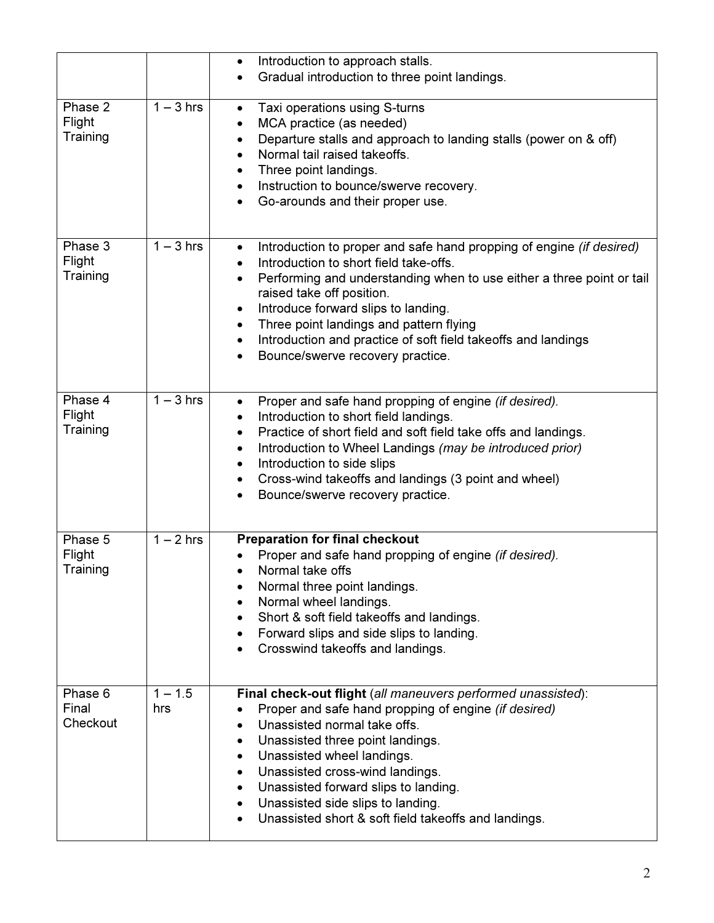|                               |                      | Introduction to approach stalls.<br>$\bullet$<br>Gradual introduction to three point landings.<br>$\bullet$                                                                                                                                                                                                                                                                                                                           |
|-------------------------------|----------------------|---------------------------------------------------------------------------------------------------------------------------------------------------------------------------------------------------------------------------------------------------------------------------------------------------------------------------------------------------------------------------------------------------------------------------------------|
| Phase 2<br>Flight<br>Training | $1 - 3$ hrs          | Taxi operations using S-turns<br>$\bullet$<br>MCA practice (as needed)<br>٠<br>Departure stalls and approach to landing stalls (power on & off)<br>٠<br>Normal tail raised takeoffs.<br>$\bullet$<br>Three point landings.<br>Instruction to bounce/swerve recovery.<br>Go-arounds and their proper use.                                                                                                                              |
| Phase 3<br>Flight<br>Training | $1 - 3$ hrs          | Introduction to proper and safe hand propping of engine (if desired)<br>$\bullet$<br>Introduction to short field take-offs.<br>Performing and understanding when to use either a three point or tail<br>$\bullet$<br>raised take off position.<br>Introduce forward slips to landing.<br>Three point landings and pattern flying<br>Introduction and practice of soft field takeoffs and landings<br>Bounce/swerve recovery practice. |
| Phase 4<br>Flight<br>Training | $\overline{1-3}$ hrs | Proper and safe hand propping of engine (if desired).<br>$\bullet$<br>Introduction to short field landings.<br>٠<br>Practice of short field and soft field take offs and landings.<br>٠<br>Introduction to Wheel Landings (may be introduced prior)<br>$\bullet$<br>Introduction to side slips<br>$\bullet$<br>Cross-wind takeoffs and landings (3 point and wheel)<br>Bounce/swerve recovery practice.                               |
| Phase 5<br>Flight<br>Training | $1 - 2$ hrs          | <b>Preparation for final checkout</b><br>Proper and safe hand propping of engine (if desired).<br>Normal take offs<br>Normal three point landings.<br>$\bullet$<br>Normal wheel landings.<br>Short & soft field takeoffs and landings.<br>Forward slips and side slips to landing.<br>Crosswind takeoffs and landings.                                                                                                                |
| Phase 6<br>Final<br>Checkout  | $1 - 1.5$<br>hrs     | Final check-out flight (all maneuvers performed unassisted):<br>Proper and safe hand propping of engine (if desired)<br>Unassisted normal take offs.<br>Unassisted three point landings.<br>٠<br>Unassisted wheel landings.<br>$\bullet$<br>Unassisted cross-wind landings.<br>$\bullet$<br>Unassisted forward slips to landing.<br>٠<br>Unassisted side slips to landing.<br>Unassisted short & soft field takeoffs and landings.    |